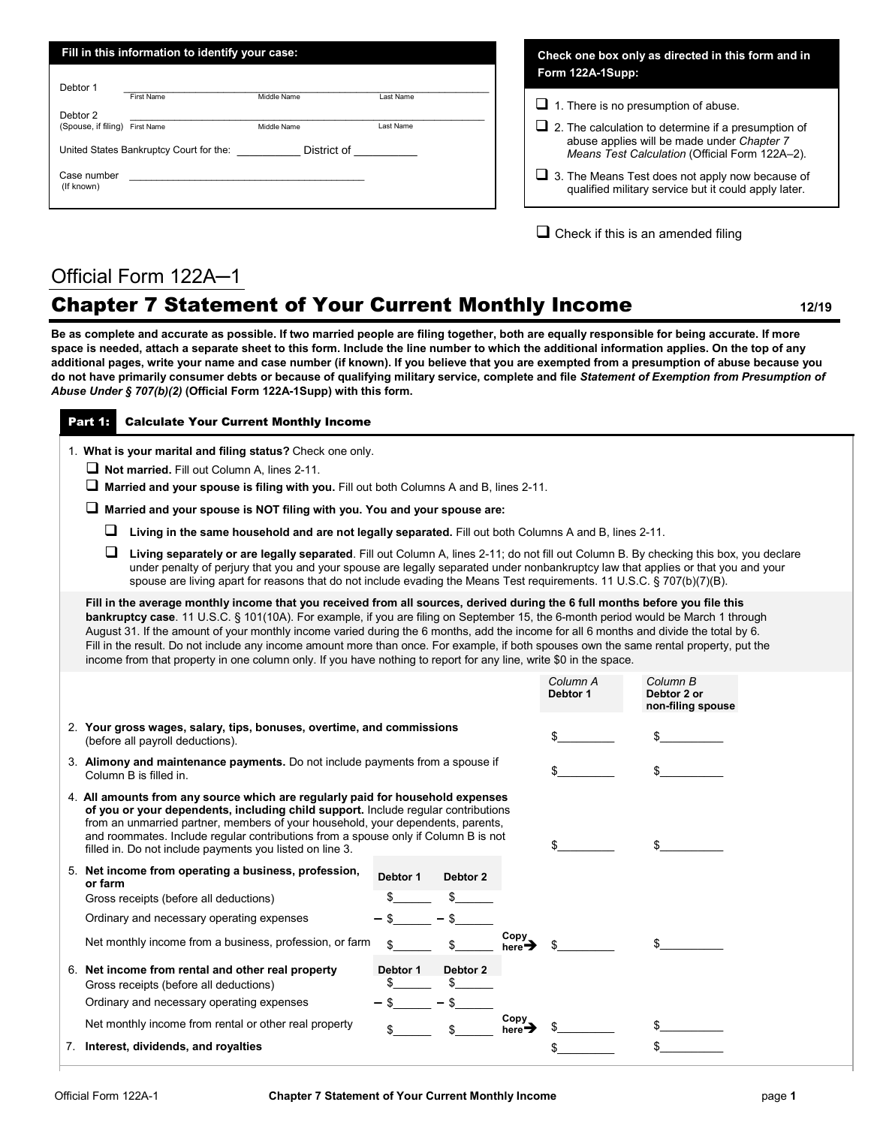| Fill in this information to identify your case: |                                                                                                                                                                                                                               |                                   |           |  |
|-------------------------------------------------|-------------------------------------------------------------------------------------------------------------------------------------------------------------------------------------------------------------------------------|-----------------------------------|-----------|--|
| Debtor 1                                        |                                                                                                                                                                                                                               |                                   |           |  |
|                                                 | <b>First Name</b>                                                                                                                                                                                                             | Middle Name                       | Last Name |  |
| Debtor 2                                        |                                                                                                                                                                                                                               |                                   |           |  |
| (Spouse, if filing)                             | First Name                                                                                                                                                                                                                    | Middle Name                       | Last Name |  |
|                                                 | United States Bankruptcy Court for the:                                                                                                                                                                                       | District of <b>Exercise State</b> |           |  |
| Case number<br>(If known)                       | the control of the control of the control of the control of the control of the control of the control of the control of the control of the control of the control of the control of the control of the control of the control |                                   |           |  |
|                                                 |                                                                                                                                                                                                                               |                                   |           |  |

**Check one box only as directed in this form and in Form 122A-1Supp:**

 $\Box$  1. There is no presumption of abuse.

- $\Box$  2. The calculation to determine if a presumption of abuse applies will be made under *Chapter 7 Means Test Calculation* (Official Form 122A–2).
- $\Box$  3. The Means Test does not apply now because of qualified military service but it could apply later.

 $\Box$  Check if this is an amended filing

## Official Form 122A─1

## Chapter 7 Statement of Your Current Monthly Income **<sup>1</sup>2/19**

**Be as complete and accurate as possible. If two married people are filing together, both are equally responsible for being accurate. If more space is needed, attach a separate sheet to this form. Include the line number to which the additional information applies. On the top of any additional pages, write your name and case number (if known). If you believe that you are exempted from a presumption of abuse because you do not have primarily consumer debts or because of qualifying military service, complete and file** *Statement of Exemption from Presumption of Abuse Under § 707(b)(2)* **(Official Form 122A-1Supp) with this form.**

## Part 1: Calculate Your Current Monthly Income

1. **What is your marital and filing status?** Check one only.

- **Not married.** Fill out Column A, lines 2-11.
- **Married and your spouse is filing with you.** Fill out both Columns A and B, lines 2-11.

**Married and your spouse is NOT filing with you. You and your spouse are:**

**Living in the same household and are not legally separated.** Fill out both Columns A and B, lines 2-11.

 **Living separately or are legally separated**. Fill out Column A, lines 2-11; do not fill out Column B. By checking this box, you declare under penalty of perjury that you and your spouse are legally separated under nonbankruptcy law that applies or that you and your spouse are living apart for reasons that do not include evading the Means Test requirements. 11 U.S.C. § 707(b)(7)(B).

**Fill in the average monthly income that you received from all sources, derived during the 6 full months before you file this bankruptcy case**. 11 U.S.C. § 101(10A). For example, if you are filing on September 15, the 6-month period would be March 1 through August 31. If the amount of your monthly income varied during the 6 months, add the income for all 6 months and divide the total by 6. Fill in the result. Do not include any income amount more than once. For example, if both spouses own the same rental property, put the income from that property in one column only. If you have nothing to report for any line, write \$0 in the space.

|                                                                                                           |                                                                                                                                                                                                                                                                                                                                                                                                          |          |          |                            | Column A<br>Debtor 1 | Column B<br>Debtor 2 or<br>non-filing spouse |
|-----------------------------------------------------------------------------------------------------------|----------------------------------------------------------------------------------------------------------------------------------------------------------------------------------------------------------------------------------------------------------------------------------------------------------------------------------------------------------------------------------------------------------|----------|----------|----------------------------|----------------------|----------------------------------------------|
| 2. Your gross wages, salary, tips, bonuses, overtime, and commissions<br>(before all payroll deductions). |                                                                                                                                                                                                                                                                                                                                                                                                          |          |          |                            |                      |                                              |
| 3. Alimony and maintenance payments. Do not include payments from a spouse if<br>Column B is filled in.   |                                                                                                                                                                                                                                                                                                                                                                                                          |          |          |                            |                      |                                              |
|                                                                                                           | 4. All amounts from any source which are regularly paid for household expenses<br>of you or your dependents, including child support. Include regular contributions<br>from an unmarried partner, members of your household, your dependents, parents,<br>and roommates. Include regular contributions from a spouse only if Column B is not<br>filled in. Do not include payments you listed on line 3. |          |          |                            |                      |                                              |
| or farm                                                                                                   | 5. Net income from operating a business, profession,<br>Gross receipts (before all deductions)                                                                                                                                                                                                                                                                                                           | Debtor 1 | Debtor 2 |                            |                      |                                              |
|                                                                                                           | Ordinary and necessary operating expenses                                                                                                                                                                                                                                                                                                                                                                |          |          |                            |                      |                                              |
|                                                                                                           | Net monthly income from a business, profession, or farm                                                                                                                                                                                                                                                                                                                                                  |          |          | Copy<br>here→              |                      |                                              |
|                                                                                                           | 6. Net income from rental and other real property<br>Gross receipts (before all deductions)                                                                                                                                                                                                                                                                                                              | Debtor 1 | Debtor 2 |                            |                      |                                              |
|                                                                                                           | Ordinary and necessary operating expenses                                                                                                                                                                                                                                                                                                                                                                |          |          |                            |                      |                                              |
|                                                                                                           | Net monthly income from rental or other real property                                                                                                                                                                                                                                                                                                                                                    |          |          | Copy<br>here $\rightarrow$ |                      |                                              |
|                                                                                                           | 7. Interest, dividends, and royalties                                                                                                                                                                                                                                                                                                                                                                    |          |          |                            |                      |                                              |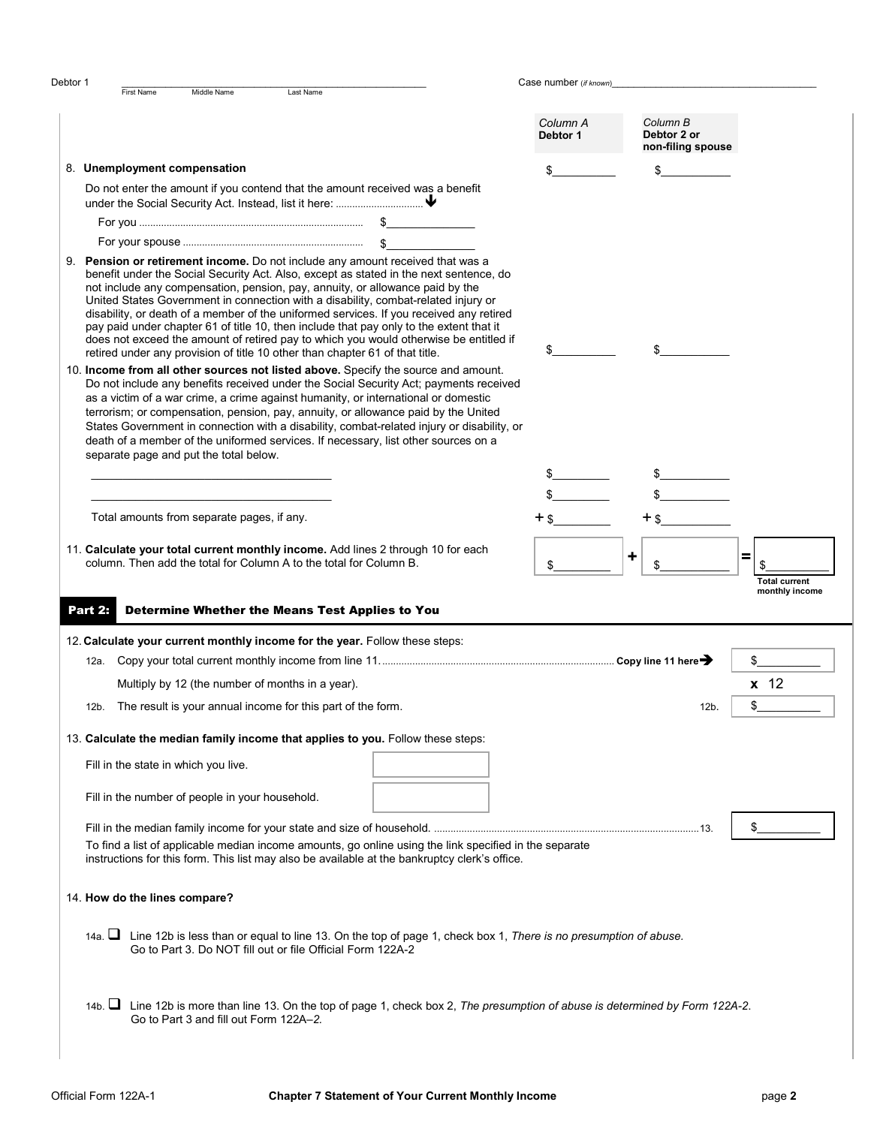|                  | <b>First Name</b><br>Middle Name<br>Last Name                                                                                                                                                                                                                                                                                                                                                                                                                                                                                                                                                                                                                                                                  | Case number (if known) |                                              |                      |
|------------------|----------------------------------------------------------------------------------------------------------------------------------------------------------------------------------------------------------------------------------------------------------------------------------------------------------------------------------------------------------------------------------------------------------------------------------------------------------------------------------------------------------------------------------------------------------------------------------------------------------------------------------------------------------------------------------------------------------------|------------------------|----------------------------------------------|----------------------|
|                  |                                                                                                                                                                                                                                                                                                                                                                                                                                                                                                                                                                                                                                                                                                                |                        |                                              |                      |
|                  |                                                                                                                                                                                                                                                                                                                                                                                                                                                                                                                                                                                                                                                                                                                | Column A<br>Debtor 1   | Column B<br>Debtor 2 or<br>non-filing spouse |                      |
|                  | 8. Unemployment compensation                                                                                                                                                                                                                                                                                                                                                                                                                                                                                                                                                                                                                                                                                   | \$                     |                                              |                      |
|                  | Do not enter the amount if you contend that the amount received was a benefit                                                                                                                                                                                                                                                                                                                                                                                                                                                                                                                                                                                                                                  |                        |                                              |                      |
|                  |                                                                                                                                                                                                                                                                                                                                                                                                                                                                                                                                                                                                                                                                                                                |                        |                                              |                      |
|                  | 9. Pension or retirement income. Do not include any amount received that was a<br>benefit under the Social Security Act. Also, except as stated in the next sentence, do<br>not include any compensation, pension, pay, annuity, or allowance paid by the<br>United States Government in connection with a disability, combat-related injury or<br>disability, or death of a member of the uniformed services. If you received any retired<br>pay paid under chapter 61 of title 10, then include that pay only to the extent that it<br>does not exceed the amount of retired pay to which you would otherwise be entitled if<br>retired under any provision of title 10 other than chapter 61 of that title. |                        |                                              |                      |
|                  | 10. Income from all other sources not listed above. Specify the source and amount.<br>Do not include any benefits received under the Social Security Act; payments received<br>as a victim of a war crime, a crime against humanity, or international or domestic<br>terrorism; or compensation, pension, pay, annuity, or allowance paid by the United<br>States Government in connection with a disability, combat-related injury or disability, or<br>death of a member of the uniformed services. If necessary, list other sources on a<br>separate page and put the total below.                                                                                                                          |                        |                                              |                      |
|                  |                                                                                                                                                                                                                                                                                                                                                                                                                                                                                                                                                                                                                                                                                                                |                        |                                              |                      |
|                  |                                                                                                                                                                                                                                                                                                                                                                                                                                                                                                                                                                                                                                                                                                                |                        |                                              |                      |
|                  | Total amounts from separate pages, if any.                                                                                                                                                                                                                                                                                                                                                                                                                                                                                                                                                                                                                                                                     | $+$ \$                 | $+$ \$                                       |                      |
|                  | 11. Calculate your total current monthly income. Add lines 2 through 10 for each                                                                                                                                                                                                                                                                                                                                                                                                                                                                                                                                                                                                                               |                        | +                                            | =                    |
|                  | column. Then add the total for Column A to the total for Column B.                                                                                                                                                                                                                                                                                                                                                                                                                                                                                                                                                                                                                                             |                        |                                              | <b>Total current</b> |
|                  | <b>Determine Whether the Means Test Applies to You</b>                                                                                                                                                                                                                                                                                                                                                                                                                                                                                                                                                                                                                                                         |                        |                                              | monthly income       |
|                  | 12. Calculate your current monthly income for the year. Follow these steps:                                                                                                                                                                                                                                                                                                                                                                                                                                                                                                                                                                                                                                    |                        |                                              |                      |
| 12a.             |                                                                                                                                                                                                                                                                                                                                                                                                                                                                                                                                                                                                                                                                                                                |                        |                                              | \$                   |
|                  | Multiply by 12 (the number of months in a year).                                                                                                                                                                                                                                                                                                                                                                                                                                                                                                                                                                                                                                                               |                        |                                              | $x$ 12               |
| 12b.             | The result is your annual income for this part of the form.                                                                                                                                                                                                                                                                                                                                                                                                                                                                                                                                                                                                                                                    |                        | 12b.                                         | \$                   |
|                  | 13. Calculate the median family income that applies to you. Follow these steps:                                                                                                                                                                                                                                                                                                                                                                                                                                                                                                                                                                                                                                |                        |                                              |                      |
|                  | Fill in the state in which you live.                                                                                                                                                                                                                                                                                                                                                                                                                                                                                                                                                                                                                                                                           |                        |                                              |                      |
|                  | Fill in the number of people in your household.                                                                                                                                                                                                                                                                                                                                                                                                                                                                                                                                                                                                                                                                |                        |                                              |                      |
|                  | To find a list of applicable median income amounts, go online using the link specified in the separate<br>instructions for this form. This list may also be available at the bankruptcy clerk's office.                                                                                                                                                                                                                                                                                                                                                                                                                                                                                                        |                        |                                              |                      |
|                  | 14. How do the lines compare?                                                                                                                                                                                                                                                                                                                                                                                                                                                                                                                                                                                                                                                                                  |                        |                                              |                      |
| Part 2: <b>1</b> | 14a. In Line 12b is less than or equal to line 13. On the top of page 1, check box 1, There is no presumption of abuse.<br>Go to Part 3. Do NOT fill out or file Official Form 122A-2                                                                                                                                                                                                                                                                                                                                                                                                                                                                                                                          |                        |                                              |                      |